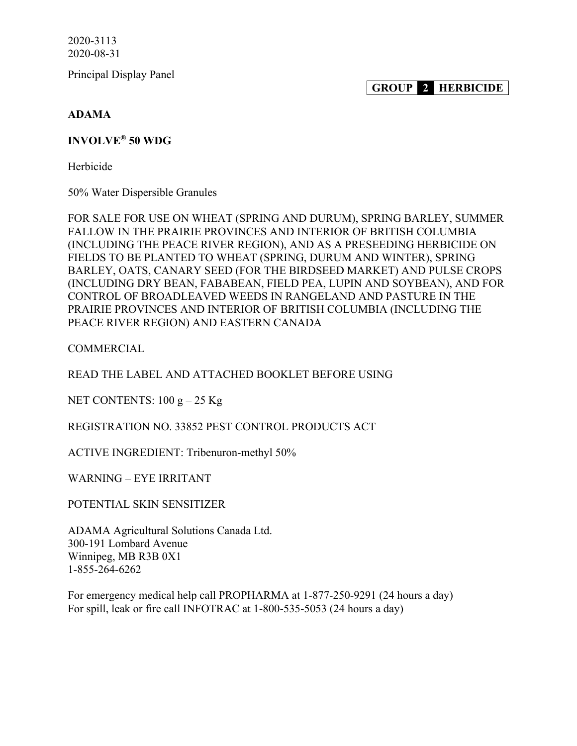Principal Display Panel

**GROUP 2 HERBICIDE**

**ADAMA**

### **INVOLVE® 50 WDG**

Herbicide

50% Water Dispersible Granules

FOR SALE FOR USE ON WHEAT (SPRING AND DURUM), SPRING BARLEY, SUMMER FALLOW IN THE PRAIRIE PROVINCES AND INTERIOR OF BRITISH COLUMBIA (INCLUDING THE PEACE RIVER REGION), AND AS A PRESEEDING HERBICIDE ON FIELDS TO BE PLANTED TO WHEAT (SPRING, DURUM AND WINTER), SPRING BARLEY, OATS, CANARY SEED (FOR THE BIRDSEED MARKET) AND PULSE CROPS (INCLUDING DRY BEAN, FABABEAN, FIELD PEA, LUPIN AND SOYBEAN), AND FOR CONTROL OF BROADLEAVED WEEDS IN RANGELAND AND PASTURE IN THE PRAIRIE PROVINCES AND INTERIOR OF BRITISH COLUMBIA (INCLUDING THE PEACE RIVER REGION) AND EASTERN CANADA

**COMMERCIAL** 

READ THE LABEL AND ATTACHED BOOKLET BEFORE USING

NET CONTENTS:  $100 g - 25 Kg$ 

REGISTRATION NO. 33852 PEST CONTROL PRODUCTS ACT

ACTIVE INGREDIENT: Tribenuron-methyl 50%

WARNING – EYE IRRITANT

POTENTIAL SKIN SENSITIZER

ADAMA Agricultural Solutions Canada Ltd. 300-191 Lombard Avenue Winnipeg, MB R3B 0X1 1-855-264-6262

For emergency medical help call PROPHARMA at 1-877-250-9291 (24 hours a day) For spill, leak or fire call INFOTRAC at 1-800-535-5053 (24 hours a day)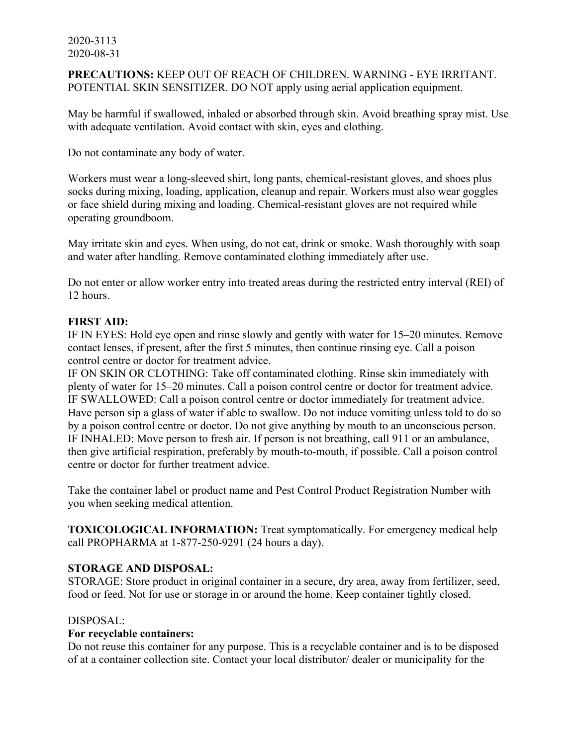**PRECAUTIONS:** KEEP OUT OF REACH OF CHILDREN. WARNING - EYE IRRITANT. POTENTIAL SKIN SENSITIZER. DO NOT apply using aerial application equipment.

May be harmful if swallowed, inhaled or absorbed through skin. Avoid breathing spray mist. Use with adequate ventilation. Avoid contact with skin, eyes and clothing.

Do not contaminate any body of water.

Workers must wear a long-sleeved shirt, long pants, chemical-resistant gloves, and shoes plus socks during mixing, loading, application, cleanup and repair. Workers must also wear goggles or face shield during mixing and loading. Chemical-resistant gloves are not required while operating groundboom.

May irritate skin and eyes. When using, do not eat, drink or smoke. Wash thoroughly with soap and water after handling. Remove contaminated clothing immediately after use.

Do not enter or allow worker entry into treated areas during the restricted entry interval (REI) of 12 hours.

### **FIRST AID:**

IF IN EYES: Hold eye open and rinse slowly and gently with water for 15–20 minutes. Remove contact lenses, if present, after the first 5 minutes, then continue rinsing eye. Call a poison control centre or doctor for treatment advice.

IF ON SKIN OR CLOTHING: Take off contaminated clothing. Rinse skin immediately with plenty of water for 15–20 minutes. Call a poison control centre or doctor for treatment advice. IF SWALLOWED: Call a poison control centre or doctor immediately for treatment advice. Have person sip a glass of water if able to swallow. Do not induce vomiting unless told to do so by a poison control centre or doctor. Do not give anything by mouth to an unconscious person. IF INHALED: Move person to fresh air. If person is not breathing, call 911 or an ambulance, then give artificial respiration, preferably by mouth-to-mouth, if possible. Call a poison control centre or doctor for further treatment advice.

Take the container label or product name and Pest Control Product Registration Number with you when seeking medical attention.

**TOXICOLOGICAL INFORMATION:** Treat symptomatically. For emergency medical help call PROPHARMA at 1-877-250-9291 (24 hours a day).

### **STORAGE AND DISPOSAL:**

STORAGE: Store product in original container in a secure, dry area, away from fertilizer, seed, food or feed. Not for use or storage in or around the home. Keep container tightly closed.

### DISPOSAL:

### **For recyclable containers:**

Do not reuse this container for any purpose. This is a recyclable container and is to be disposed of at a container collection site. Contact your local distributor/ dealer or municipality for the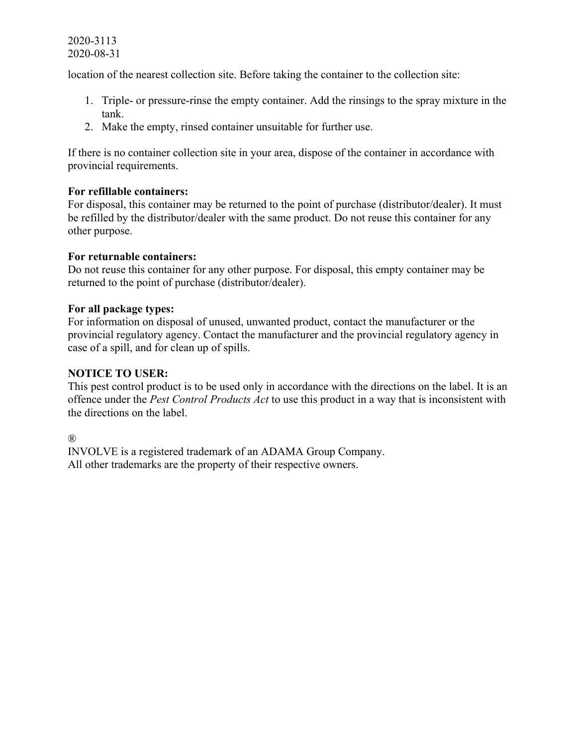location of the nearest collection site. Before taking the container to the collection site:

- 1. Triple- or pressure-rinse the empty container. Add the rinsings to the spray mixture in the tank.
- 2. Make the empty, rinsed container unsuitable for further use.

If there is no container collection site in your area, dispose of the container in accordance with provincial requirements.

### **For refillable containers:**

For disposal, this container may be returned to the point of purchase (distributor/dealer). It must be refilled by the distributor/dealer with the same product. Do not reuse this container for any other purpose.

### **For returnable containers:**

Do not reuse this container for any other purpose. For disposal, this empty container may be returned to the point of purchase (distributor/dealer).

### **For all package types:**

For information on disposal of unused, unwanted product, contact the manufacturer or the provincial regulatory agency. Contact the manufacturer and the provincial regulatory agency in case of a spill, and for clean up of spills.

### **NOTICE TO USER:**

This pest control product is to be used only in accordance with the directions on the label. It is an offence under the *Pest Control Products Act* to use this product in a way that is inconsistent with the directions on the label.

®

INVOLVE is a registered trademark of an ADAMA Group Company. All other trademarks are the property of their respective owners.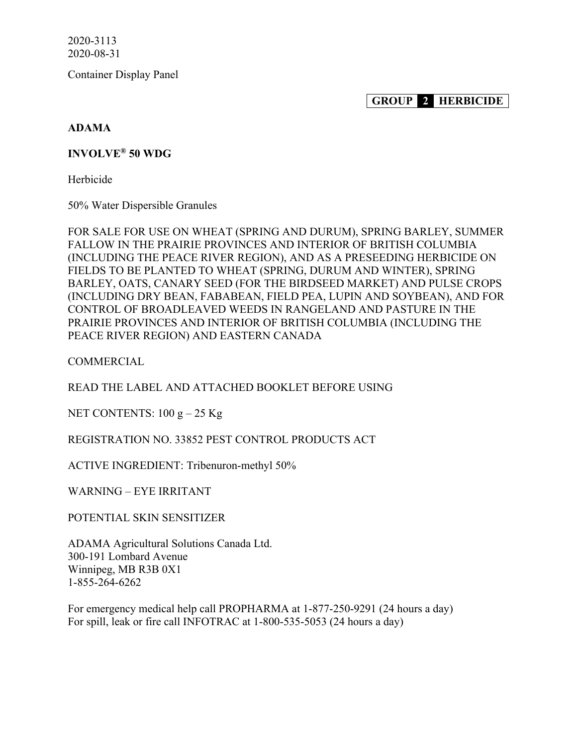Container Display Panel

**GROUP 2 HERBICIDE**

### **ADAMA**

### **INVOLVE® 50 WDG**

Herbicide

50% Water Dispersible Granules

FOR SALE FOR USE ON WHEAT (SPRING AND DURUM), SPRING BARLEY, SUMMER FALLOW IN THE PRAIRIE PROVINCES AND INTERIOR OF BRITISH COLUMBIA (INCLUDING THE PEACE RIVER REGION), AND AS A PRESEEDING HERBICIDE ON FIELDS TO BE PLANTED TO WHEAT (SPRING, DURUM AND WINTER), SPRING BARLEY, OATS, CANARY SEED (FOR THE BIRDSEED MARKET) AND PULSE CROPS (INCLUDING DRY BEAN, FABABEAN, FIELD PEA, LUPIN AND SOYBEAN), AND FOR CONTROL OF BROADLEAVED WEEDS IN RANGELAND AND PASTURE IN THE PRAIRIE PROVINCES AND INTERIOR OF BRITISH COLUMBIA (INCLUDING THE PEACE RIVER REGION) AND EASTERN CANADA

**COMMERCIAL** 

READ THE LABEL AND ATTACHED BOOKLET BEFORE USING

NET CONTENTS:  $100 g - 25 Kg$ 

REGISTRATION NO. 33852 PEST CONTROL PRODUCTS ACT

ACTIVE INGREDIENT: Tribenuron-methyl 50%

WARNING – EYE IRRITANT

POTENTIAL SKIN SENSITIZER

ADAMA Agricultural Solutions Canada Ltd. 300-191 Lombard Avenue Winnipeg, MB R3B 0X1 1-855-264-6262

For emergency medical help call PROPHARMA at 1-877-250-9291 (24 hours a day) For spill, leak or fire call INFOTRAC at 1-800-535-5053 (24 hours a day)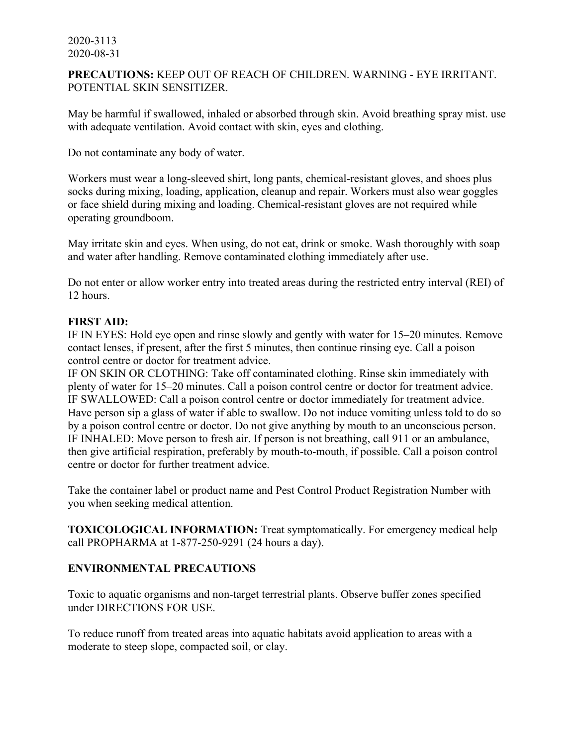### **PRECAUTIONS:** KEEP OUT OF REACH OF CHILDREN. WARNING - EYE IRRITANT. POTENTIAL SKIN SENSITIZER.

May be harmful if swallowed, inhaled or absorbed through skin. Avoid breathing spray mist. use with adequate ventilation. Avoid contact with skin, eyes and clothing.

Do not contaminate any body of water.

Workers must wear a long-sleeved shirt, long pants, chemical-resistant gloves, and shoes plus socks during mixing, loading, application, cleanup and repair. Workers must also wear goggles or face shield during mixing and loading. Chemical-resistant gloves are not required while operating groundboom.

May irritate skin and eyes. When using, do not eat, drink or smoke. Wash thoroughly with soap and water after handling. Remove contaminated clothing immediately after use.

Do not enter or allow worker entry into treated areas during the restricted entry interval (REI) of 12 hours.

### **FIRST AID:**

IF IN EYES: Hold eye open and rinse slowly and gently with water for 15–20 minutes. Remove contact lenses, if present, after the first 5 minutes, then continue rinsing eye. Call a poison control centre or doctor for treatment advice.

IF ON SKIN OR CLOTHING: Take off contaminated clothing. Rinse skin immediately with plenty of water for 15–20 minutes. Call a poison control centre or doctor for treatment advice. IF SWALLOWED: Call a poison control centre or doctor immediately for treatment advice. Have person sip a glass of water if able to swallow. Do not induce vomiting unless told to do so by a poison control centre or doctor. Do not give anything by mouth to an unconscious person. IF INHALED: Move person to fresh air. If person is not breathing, call 911 or an ambulance, then give artificial respiration, preferably by mouth-to-mouth, if possible. Call a poison control centre or doctor for further treatment advice.

Take the container label or product name and Pest Control Product Registration Number with you when seeking medical attention.

**TOXICOLOGICAL INFORMATION:** Treat symptomatically. For emergency medical help call PROPHARMA at 1-877-250-9291 (24 hours a day).

## **ENVIRONMENTAL PRECAUTIONS**

Toxic to aquatic organisms and non-target terrestrial plants. Observe buffer zones specified under DIRECTIONS FOR USE.

To reduce runoff from treated areas into aquatic habitats avoid application to areas with a moderate to steep slope, compacted soil, or clay.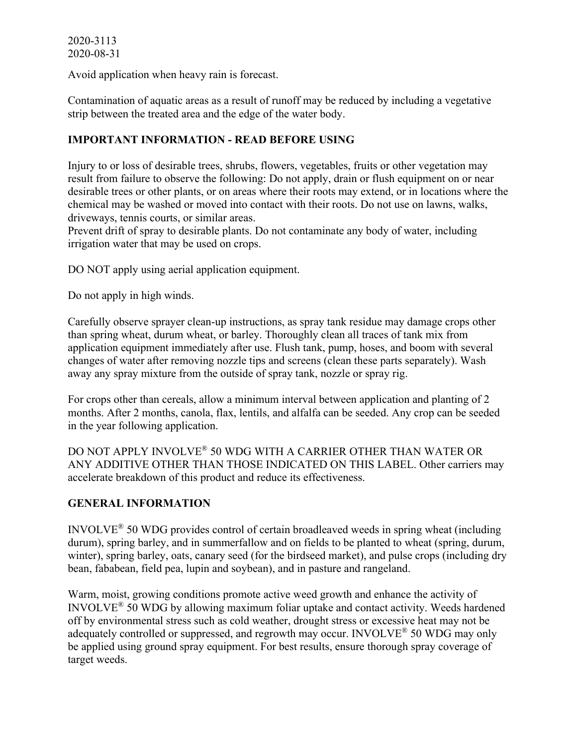Avoid application when heavy rain is forecast.

Contamination of aquatic areas as a result of runoff may be reduced by including a vegetative strip between the treated area and the edge of the water body.

## **IMPORTANT INFORMATION - READ BEFORE USING**

Injury to or loss of desirable trees, shrubs, flowers, vegetables, fruits or other vegetation may result from failure to observe the following: Do not apply, drain or flush equipment on or near desirable trees or other plants, or on areas where their roots may extend, or in locations where the chemical may be washed or moved into contact with their roots. Do not use on lawns, walks, driveways, tennis courts, or similar areas.

Prevent drift of spray to desirable plants. Do not contaminate any body of water, including irrigation water that may be used on crops.

DO NOT apply using aerial application equipment.

Do not apply in high winds.

Carefully observe sprayer clean-up instructions, as spray tank residue may damage crops other than spring wheat, durum wheat, or barley. Thoroughly clean all traces of tank mix from application equipment immediately after use. Flush tank, pump, hoses, and boom with several changes of water after removing nozzle tips and screens (clean these parts separately). Wash away any spray mixture from the outside of spray tank, nozzle or spray rig.

For crops other than cereals, allow a minimum interval between application and planting of 2 months. After 2 months, canola, flax, lentils, and alfalfa can be seeded. Any crop can be seeded in the year following application.

DO NOT APPLY INVOLVE® 50 WDG WITH A CARRIER OTHER THAN WATER OR ANY ADDITIVE OTHER THAN THOSE INDICATED ON THIS LABEL. Other carriers may accelerate breakdown of this product and reduce its effectiveness.

## **GENERAL INFORMATION**

INVOLVE® 50 WDG provides control of certain broadleaved weeds in spring wheat (including durum), spring barley, and in summerfallow and on fields to be planted to wheat (spring, durum, winter), spring barley, oats, canary seed (for the birdseed market), and pulse crops (including dry bean, fababean, field pea, lupin and soybean), and in pasture and rangeland.

Warm, moist, growing conditions promote active weed growth and enhance the activity of INVOLVE® 50 WDG by allowing maximum foliar uptake and contact activity. Weeds hardened off by environmental stress such as cold weather, drought stress or excessive heat may not be adequately controlled or suppressed, and regrowth may occur. INVOLVE<sup>®</sup> 50 WDG may only be applied using ground spray equipment. For best results, ensure thorough spray coverage of target weeds.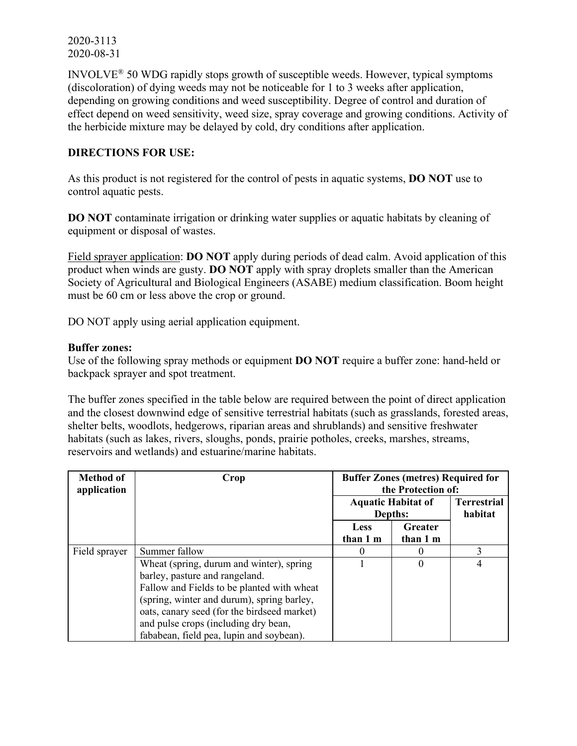INVOLVE® 50 WDG rapidly stops growth of susceptible weeds. However, typical symptoms (discoloration) of dying weeds may not be noticeable for 1 to 3 weeks after application, depending on growing conditions and weed susceptibility. Degree of control and duration of effect depend on weed sensitivity, weed size, spray coverage and growing conditions. Activity of the herbicide mixture may be delayed by cold, dry conditions after application.

### **DIRECTIONS FOR USE:**

As this product is not registered for the control of pests in aquatic systems, **DO NOT** use to control aquatic pests.

**DO NOT** contaminate irrigation or drinking water supplies or aquatic habitats by cleaning of equipment or disposal of wastes.

Field sprayer application: **DO NOT** apply during periods of dead calm. Avoid application of this product when winds are gusty. **DO NOT** apply with spray droplets smaller than the American Society of Agricultural and Biological Engineers (ASABE) medium classification. Boom height must be 60 cm or less above the crop or ground.

DO NOT apply using aerial application equipment.

#### **Buffer zones:**

Use of the following spray methods or equipment **DO NOT** require a buffer zone: hand-held or backpack sprayer and spot treatment.

The buffer zones specified in the table below are required between the point of direct application and the closest downwind edge of sensitive terrestrial habitats (such as grasslands, forested areas, shelter belts, woodlots, hedgerows, riparian areas and shrublands) and sensitive freshwater habitats (such as lakes, rivers, sloughs, ponds, prairie potholes, creeks, marshes, streams, reservoirs and wetlands) and estuarine/marine habitats.

| <b>Method of</b><br>application | Crop                                        | <b>Buffer Zones (metres) Required for</b><br>the Protection of: |                     |                               |
|---------------------------------|---------------------------------------------|-----------------------------------------------------------------|---------------------|-------------------------------|
|                                 |                                             | <b>Aquatic Habitat of</b><br>Depths:                            |                     | <b>Terrestrial</b><br>habitat |
|                                 |                                             | <b>Less</b><br>than 1 m                                         | Greater<br>than 1 m |                               |
| Field sprayer                   | Summer fallow                               | $\theta$                                                        |                     |                               |
|                                 | Wheat (spring, durum and winter), spring    |                                                                 | 0                   | 4                             |
|                                 | barley, pasture and rangeland.              |                                                                 |                     |                               |
|                                 | Fallow and Fields to be planted with wheat  |                                                                 |                     |                               |
|                                 | (spring, winter and durum), spring barley,  |                                                                 |                     |                               |
|                                 | oats, canary seed (for the birdseed market) |                                                                 |                     |                               |
|                                 | and pulse crops (including dry bean,        |                                                                 |                     |                               |
|                                 | fababean, field pea, lupin and soybean).    |                                                                 |                     |                               |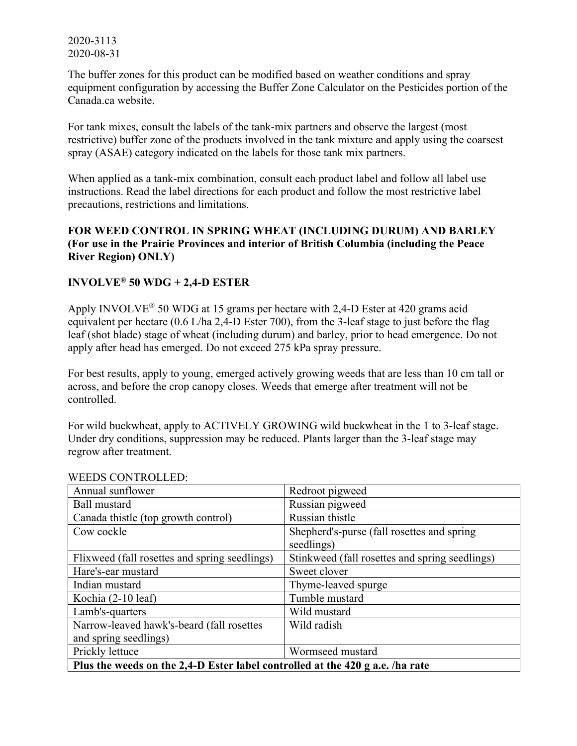The buffer zones for this product can be modified based on weather conditions and spray equipment configuration by accessing the Buffer Zone Calculator on the Pesticides portion of the Canada.ca website.

For tank mixes, consult the labels of the tank-mix partners and observe the largest (most restrictive) buffer zone of the products involved in the tank mixture and apply using the coarsest spray (ASAE) category indicated on the labels for those tank mix partners.

When applied as a tank-mix combination, consult each product label and follow all label use instructions. Read the label directions for each product and follow the most restrictive label precautions, restrictions and limitations.

## **FOR WEED CONTROL IN SPRING WHEAT (INCLUDING DURUM) AND BARLEY (For use in the Prairie Provinces and interior of British Columbia (including the Peace River Region) ONLY)**

## **INVOLVE® 50 WDG + 2,4-D ESTER**

Apply INVOLVE® 50 WDG at 15 grams per hectare with 2,4-D Ester at 420 grams acid equivalent per hectare (0.6 L/ha 2,4-D Ester 700), from the 3-leaf stage to just before the flag leaf (shot blade) stage of wheat (including durum) and barley, prior to head emergence. Do not apply after head has emerged. Do not exceed 275 kPa spray pressure.

For best results, apply to young, emerged actively growing weeds that are less than 10 cm tall or across, and before the crop canopy closes. Weeds that emerge after treatment will not be controlled.

For wild buckwheat, apply to ACTIVELY GROWING wild buckwheat in the 1 to 3-leaf stage. Under dry conditions, suppression may be reduced. Plants larger than the 3-leaf stage may regrow after treatment.

| WEEDS CONTROLEED.                                                             |                                                |  |
|-------------------------------------------------------------------------------|------------------------------------------------|--|
| Annual sunflower                                                              | Redroot pigweed                                |  |
| <b>Ball mustard</b>                                                           | Russian pigweed                                |  |
| Canada thistle (top growth control)                                           | Russian thistle                                |  |
| Cow cockle                                                                    | Shepherd's-purse (fall rosettes and spring     |  |
|                                                                               | seedlings)                                     |  |
| Flixweed (fall rosettes and spring seedlings)                                 | Stinkweed (fall rosettes and spring seedlings) |  |
| Hare's-ear mustard                                                            | Sweet clover                                   |  |
| Indian mustard                                                                | Thyme-leaved spurge                            |  |
| Kochia (2-10 leaf)                                                            | Tumble mustard                                 |  |
| Lamb's-quarters                                                               | Wild mustard                                   |  |
| Narrow-leaved hawk's-beard (fall rosettes                                     | Wild radish                                    |  |
| and spring seedlings)                                                         |                                                |  |
| Prickly lettuce                                                               | Wormseed mustard                               |  |
| Plus the weeds on the 2,4-D Ester label controlled at the 420 g a.e. /ha rate |                                                |  |

#### WEEDS CONTROLLED.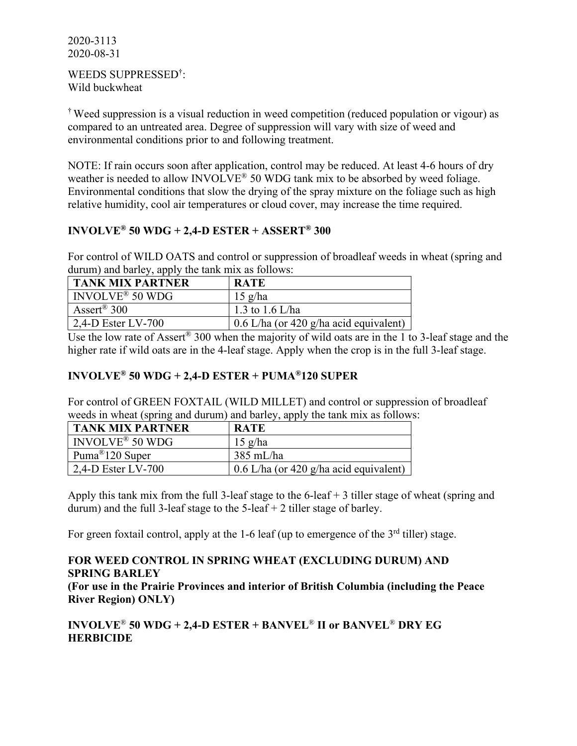#### WEEDS SUPPRESSED† : Wild buckwheat

† Weed suppression is a visual reduction in weed competition (reduced population or vigour) as compared to an untreated area. Degree of suppression will vary with size of weed and environmental conditions prior to and following treatment.

NOTE: If rain occurs soon after application, control may be reduced. At least 4-6 hours of dry weather is needed to allow INVOLVE<sup>®</sup> 50 WDG tank mix to be absorbed by weed foliage. Environmental conditions that slow the drying of the spray mixture on the foliage such as high relative humidity, cool air temperatures or cloud cover, may increase the time required.

# **INVOLVE® 50 WDG + 2,4-D ESTER + ASSERT® 300**

For control of WILD OATS and control or suppression of broadleaf weeds in wheat (spring and durum) and barley, apply the tank mix as follows:

| <b>TANK MIX PARTNER</b>             | <b>RATE</b>                              |
|-------------------------------------|------------------------------------------|
| $\vert$ INVOLVE <sup>®</sup> 50 WDG | $15 \text{ g/ha}$                        |
| Assert <sup>®</sup> 300             | 1.3 to 1.6 L/ha                          |
| 2,4-D Ester LV-700                  | $0.6$ L/ha (or 420 g/ha acid equivalent) |

Use the low rate of Assert<sup>®</sup> 300 when the majority of wild oats are in the 1 to 3-leaf stage and the higher rate if wild oats are in the 4-leaf stage. Apply when the crop is in the full 3-leaf stage.

## **INVOLVE® 50 WDG + 2,4-D ESTER + PUMA®120 SUPER**

For control of GREEN FOXTAIL (WILD MILLET) and control or suppression of broadleaf weeds in wheat (spring and durum) and barley, apply the tank mix as follows:

| <b>TANK MIX PARTNER</b>       | <b>RATE</b>                              |
|-------------------------------|------------------------------------------|
| $NVOLVE^{\circledast}$ 50 WDG | $15 \text{ g/ha}$                        |
| Puma <sup>®</sup> 120 Super   | 385 mL/ha                                |
| $\vert$ 2,4-D Ester LV-700    | $0.6$ L/ha (or 420 g/ha acid equivalent) |

Apply this tank mix from the full 3-leaf stage to the  $6$ -leaf  $+$  3 tiller stage of wheat (spring and durum) and the full 3-leaf stage to the  $5$ -leaf  $+ 2$  tiller stage of barley.

For green foxtail control, apply at the 1-6 leaf (up to emergence of the 3<sup>rd</sup> tiller) stage.

# **FOR WEED CONTROL IN SPRING WHEAT (EXCLUDING DURUM) AND SPRING BARLEY (For use in the Prairie Provinces and interior of British Columbia (including the Peace River Region) ONLY)**

# **INVOLVE**® **50 WDG + 2,4-D ESTER + BANVEL**® **II or BANVEL**® **DRY EG HERBICIDE**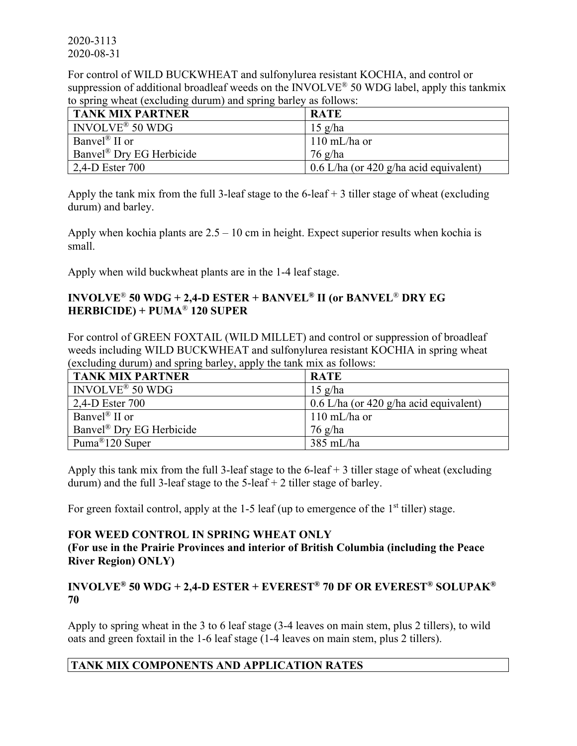For control of WILD BUCKWHEAT and sulfonylurea resistant KOCHIA, and control or suppression of additional broadleaf weeds on the INVOLVE® 50 WDG label, apply this tankmix to spring wheat (excluding durum) and spring barley as follows:

| <b>TANK MIX PARTNER</b>              | <b>RATE</b>                              |
|--------------------------------------|------------------------------------------|
| INVOLVE <sup>®</sup> 50 WDG          | $15 \text{ g/ha}$                        |
| Banvel <sup>®</sup> II or            | $110 \text{ mL/ha}$ or                   |
| Banvel <sup>®</sup> Dry EG Herbicide | $76 \text{ g/ha}$                        |
| $12,4$ -D Ester 700                  | $0.6$ L/ha (or 420 g/ha acid equivalent) |

Apply the tank mix from the full 3-leaf stage to the  $6$ -leaf  $+$  3 tiller stage of wheat (excluding durum) and barley.

Apply when kochia plants are  $2.5 - 10$  cm in height. Expect superior results when kochia is small.

Apply when wild buckwheat plants are in the 1-4 leaf stage.

## **INVOLVE**® **50 WDG + 2,4-D ESTER + BANVEL® II (or BANVEL**® **DRY EG HERBICIDE) + PUMA**® **120 SUPER**

For control of GREEN FOXTAIL (WILD MILLET) and control or suppression of broadleaf weeds including WILD BUCKWHEAT and sulfonylurea resistant KOCHIA in spring wheat (excluding durum) and spring barley, apply the tank mix as follows:

| <b>TANK MIX PARTNER</b>     | <b>RATE</b>                              |
|-----------------------------|------------------------------------------|
| INVOLVE <sup>®</sup> 50 WDG | $15 \text{ g/ha}$                        |
| 2,4-D Ester 700             | $0.6$ L/ha (or 420 g/ha acid equivalent) |
| Banvel <sup>®</sup> II or   | $110 \text{ mL/ha}$ or                   |
| Banvel® Dry EG Herbicide    | 76 g/ha                                  |
| Puma <sup>®</sup> 120 Super | $385$ mL/ha                              |

Apply this tank mix from the full 3-leaf stage to the  $6$ -leaf  $+$  3 tiller stage of wheat (excluding durum) and the full 3-leaf stage to the  $5$ -leaf  $+$  2 tiller stage of barley.

For green foxtail control, apply at the 1-5 leaf (up to emergence of the  $1<sup>st</sup>$  tiller) stage.

## **FOR WEED CONTROL IN SPRING WHEAT ONLY**

**(For use in the Prairie Provinces and interior of British Columbia (including the Peace River Region) ONLY)**

# **INVOLVE® 50 WDG + 2,4-D ESTER + EVEREST® 70 DF OR EVEREST® SOLUPAK® 70**

Apply to spring wheat in the 3 to 6 leaf stage (3-4 leaves on main stem, plus 2 tillers), to wild oats and green foxtail in the 1-6 leaf stage (1-4 leaves on main stem, plus 2 tillers).

# **TANK MIX COMPONENTS AND APPLICATION RATES**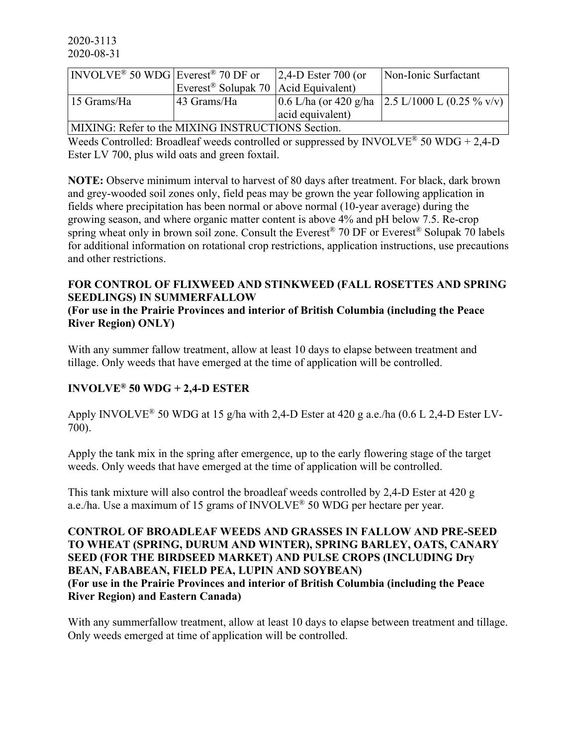| $\vert$ INVOLVE <sup>®</sup> 50 WDG Everest <sup>®</sup> 70 DF or |                                                  | $ 2,4$ -D Ester 700 (or | Non-Ionic Surfactant                                  |  |
|-------------------------------------------------------------------|--------------------------------------------------|-------------------------|-------------------------------------------------------|--|
|                                                                   | Everest <sup>®</sup> Solupak 70 Acid Equivalent) |                         |                                                       |  |
| 15 Grams/Ha                                                       | 43 Grams/Ha                                      |                         | $(0.6$ L/ha (or 420 g/ha $(2.5$ L/1000 L (0.25 % v/v) |  |
|                                                                   |                                                  | acid equivalent)        |                                                       |  |
| MIXING: Refer to the MIXING INSTRUCTIONS Section.                 |                                                  |                         |                                                       |  |

Weeds Controlled: Broadleaf weeds controlled or suppressed by INVOLVE<sup>®</sup> 50 WDG + 2,4-D Ester LV 700, plus wild oats and green foxtail.

**NOTE:** Observe minimum interval to harvest of 80 days after treatment. For black, dark brown and grey-wooded soil zones only, field peas may be grown the year following application in fields where precipitation has been normal or above normal (10-year average) during the growing season, and where organic matter content is above 4% and pH below 7.5. Re-crop spring wheat only in brown soil zone. Consult the Everest<sup>®</sup> 70 DF or Everest<sup>®</sup> Solupak 70 labels for additional information on rotational crop restrictions, application instructions, use precautions and other restrictions.

## **FOR CONTROL OF FLIXWEED AND STINKWEED (FALL ROSETTES AND SPRING SEEDLINGS) IN SUMMERFALLOW**

**(For use in the Prairie Provinces and interior of British Columbia (including the Peace River Region) ONLY)**

With any summer fallow treatment, allow at least 10 days to elapse between treatment and tillage. Only weeds that have emerged at the time of application will be controlled.

# **INVOLVE® 50 WDG + 2,4-D ESTER**

Apply INVOLVE® 50 WDG at 15 g/ha with 2,4-D Ester at 420 g a.e./ha (0.6 L 2,4-D Ester LV-700).

Apply the tank mix in the spring after emergence, up to the early flowering stage of the target weeds. Only weeds that have emerged at the time of application will be controlled.

This tank mixture will also control the broadleaf weeds controlled by 2,4-D Ester at 420 g a.e./ha. Use a maximum of 15 grams of INVOLVE® 50 WDG per hectare per year.

**CONTROL OF BROADLEAF WEEDS AND GRASSES IN FALLOW AND PRE-SEED TO WHEAT (SPRING, DURUM AND WINTER), SPRING BARLEY, OATS, CANARY SEED (FOR THE BIRDSEED MARKET) AND PULSE CROPS (INCLUDING Dry BEAN, FABABEAN, FIELD PEA, LUPIN AND SOYBEAN) (For use in the Prairie Provinces and interior of British Columbia (including the Peace River Region) and Eastern Canada)**

With any summerfallow treatment, allow at least 10 days to elapse between treatment and tillage. Only weeds emerged at time of application will be controlled.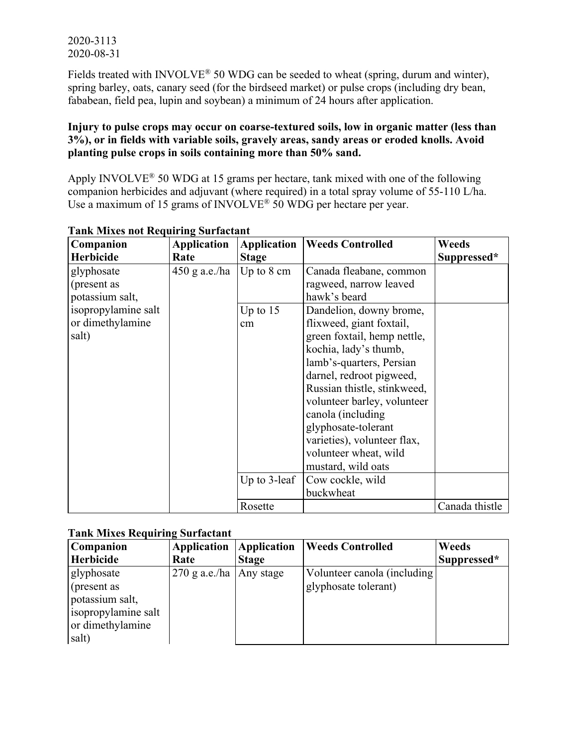Fields treated with INVOLVE<sup>®</sup> 50 WDG can be seeded to wheat (spring, durum and winter), spring barley, oats, canary seed (for the birdseed market) or pulse crops (including dry bean, fababean, field pea, lupin and soybean) a minimum of 24 hours after application.

### **Injury to pulse crops may occur on coarse-textured soils, low in organic matter (less than 3%), or in fields with variable soils, gravely areas, sandy areas or eroded knolls. Avoid planting pulse crops in soils containing more than 50% sand.**

Apply INVOLVE® 50 WDG at 15 grams per hectare, tank mixed with one of the following companion herbicides and adjuvant (where required) in a total spray volume of 55-110 L/ha. Use a maximum of 15 grams of INVOLVE<sup>®</sup> 50 WDG per hectare per year.

| Companion           | <b>Application</b> | <b>Application</b>   | <b>Weeds Controlled</b>     | Weeds          |
|---------------------|--------------------|----------------------|-----------------------------|----------------|
| <b>Herbicide</b>    | Rate               | <b>Stage</b>         |                             | Suppressed*    |
| glyphosate          | $450$ g a.e./ha    | Up to $8 \text{ cm}$ | Canada fleabane, common     |                |
| (present as         |                    |                      | ragweed, narrow leaved      |                |
| potassium salt,     |                    |                      | hawk's beard                |                |
| isopropylamine salt |                    | Up to $15$           | Dandelion, downy brome,     |                |
| or dimethylamine    |                    | cm                   | flixweed, giant foxtail,    |                |
| salt)               |                    |                      | green foxtail, hemp nettle, |                |
|                     |                    |                      | kochia, lady's thumb,       |                |
|                     |                    |                      | lamb's-quarters, Persian    |                |
|                     |                    |                      | darnel, redroot pigweed,    |                |
|                     |                    |                      | Russian thistle, stinkweed, |                |
|                     |                    |                      | volunteer barley, volunteer |                |
|                     |                    |                      | canola (including           |                |
|                     |                    |                      | glyphosate-tolerant         |                |
|                     |                    |                      | varieties), volunteer flax, |                |
|                     |                    |                      | volunteer wheat, wild       |                |
|                     |                    |                      | mustard, wild oats          |                |
|                     |                    | Up to $3$ -leaf      | Cow cockle, wild            |                |
|                     |                    |                      | buckwheat                   |                |
|                     |                    | Rosette              |                             | Canada thistle |

# **Tank Mixes not Requiring Surfactant**

## **Tank Mixes Requiring Surfactant**

| rama binaco regumente cui iacunt<br><b>Companion</b> | Application                 | Application  | <b>Weeds Controlled</b>     | Weeds       |
|------------------------------------------------------|-----------------------------|--------------|-----------------------------|-------------|
| Herbicide                                            | Rate                        | <b>Stage</b> |                             | Suppressed* |
| glyphosate                                           | $270$ g a.e./ha   Any stage |              | Volunteer canola (including |             |
| (present as                                          |                             |              | glyphosate tolerant)        |             |
| potassium salt,                                      |                             |              |                             |             |
| isopropylamine salt                                  |                             |              |                             |             |
| or dimethylamine                                     |                             |              |                             |             |
| salt)                                                |                             |              |                             |             |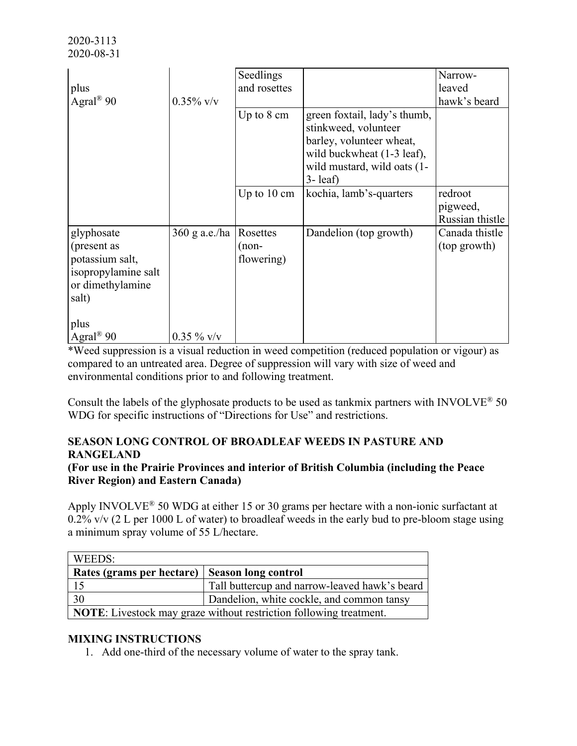|                                                                                                  |               | Seedlings                       |                                                                                                                                                                    | Narrow-                        |
|--------------------------------------------------------------------------------------------------|---------------|---------------------------------|--------------------------------------------------------------------------------------------------------------------------------------------------------------------|--------------------------------|
| plus                                                                                             |               | and rosettes                    |                                                                                                                                                                    | leaved                         |
| Agral <sup>®</sup> 90                                                                            | $0.35\%$ v/v  |                                 |                                                                                                                                                                    | hawk's beard                   |
|                                                                                                  |               | Up to $8 \text{ cm}$            | green foxtail, lady's thumb,<br>stinkweed, volunteer<br>barley, volunteer wheat,<br>wild buckwheat (1-3 leaf),<br>wild mustard, wild oats (1-<br>$3 - \text{leaf}$ |                                |
|                                                                                                  |               |                                 |                                                                                                                                                                    | redroot                        |
|                                                                                                  |               | Up to $10 \text{ cm}$           | kochia, lamb's-quarters                                                                                                                                            | pigweed,<br>Russian thistle    |
| glyphosate<br>(present as<br>potassium salt,<br>isopropylamine salt<br>or dimethylamine<br>salt) | 360 g a.e./ha | Rosettes<br>(non-<br>flowering) | Dandelion (top growth)                                                                                                                                             | Canada thistle<br>(top growth) |
| plus<br>Agral <sup>®</sup> 90                                                                    | $0.35 \%$ v/v |                                 |                                                                                                                                                                    |                                |

\*Weed suppression is a visual reduction in weed competition (reduced population or vigour) as compared to an untreated area. Degree of suppression will vary with size of weed and environmental conditions prior to and following treatment.

Consult the labels of the glyphosate products to be used as tankmix partners with INVOLVE<sup>®</sup> 50 WDG for specific instructions of "Directions for Use" and restrictions.

## **SEASON LONG CONTROL OF BROADLEAF WEEDS IN PASTURE AND RANGELAND**

## **(For use in the Prairie Provinces and interior of British Columbia (including the Peace River Region) and Eastern Canada)**

Apply INVOLVE® 50 WDG at either 15 or 30 grams per hectare with a non-ionic surfactant at  $0.2\%$  v/v (2 L per 1000 L of water) to broadleaf weeds in the early bud to pre-bloom stage using a minimum spray volume of 55 L/hectare.

| WEEDS:                                                                    |                                               |  |  |  |
|---------------------------------------------------------------------------|-----------------------------------------------|--|--|--|
| Rates (grams per hectare)   Season long control                           |                                               |  |  |  |
|                                                                           | Tall buttercup and narrow-leaved hawk's beard |  |  |  |
| 30                                                                        | Dandelion, white cockle, and common tansy     |  |  |  |
| <b>NOTE:</b> Livestock may graze without restriction following treatment. |                                               |  |  |  |

## **MIXING INSTRUCTIONS**

1. Add one-third of the necessary volume of water to the spray tank.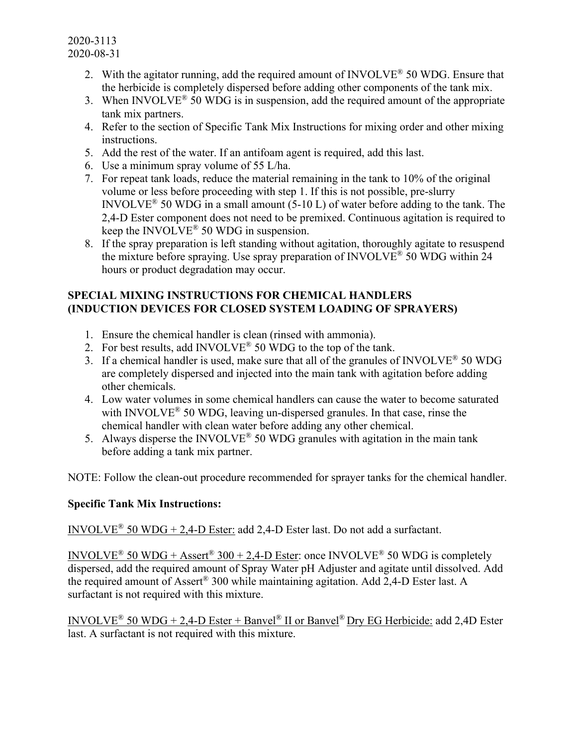- 2. With the agitator running, add the required amount of INVOLVE<sup>®</sup> 50 WDG. Ensure that the herbicide is completely dispersed before adding other components of the tank mix.
- 3. When INVOLVE<sup>®</sup> 50 WDG is in suspension, add the required amount of the appropriate tank mix partners.
- 4. Refer to the section of Specific Tank Mix Instructions for mixing order and other mixing instructions.
- 5. Add the rest of the water. If an antifoam agent is required, add this last.
- 6. Use a minimum spray volume of 55 L/ha.
- 7. For repeat tank loads, reduce the material remaining in the tank to 10% of the original volume or less before proceeding with step 1. If this is not possible, pre-slurry INVOLVE<sup>®</sup> 50 WDG in a small amount (5-10 L) of water before adding to the tank. The 2,4-D Ester component does not need to be premixed. Continuous agitation is required to keep the INVOLVE<sup>®</sup> 50 WDG in suspension.
- 8. If the spray preparation is left standing without agitation, thoroughly agitate to resuspend the mixture before spraying. Use spray preparation of INVOLVE® 50 WDG within 24 hours or product degradation may occur.

## **SPECIAL MIXING INSTRUCTIONS FOR CHEMICAL HANDLERS (INDUCTION DEVICES FOR CLOSED SYSTEM LOADING OF SPRAYERS)**

- 1. Ensure the chemical handler is clean (rinsed with ammonia).
- 2. For best results, add INVOLVE<sup>®</sup> 50 WDG to the top of the tank.
- 3. If a chemical handler is used, make sure that all of the granules of INVOLVE<sup>®</sup> 50 WDG are completely dispersed and injected into the main tank with agitation before adding other chemicals.
- 4. Low water volumes in some chemical handlers can cause the water to become saturated with INVOLVE<sup>®</sup> 50 WDG, leaving un-dispersed granules. In that case, rinse the chemical handler with clean water before adding any other chemical.
- 5. Always disperse the INVOLVE<sup>®</sup> 50 WDG granules with agitation in the main tank before adding a tank mix partner.

NOTE: Follow the clean-out procedure recommended for sprayer tanks for the chemical handler.

# **Specific Tank Mix Instructions:**

INVOLVE<sup>®</sup> 50 WDG + 2,4-D Ester: add 2,4-D Ester last. Do not add a surfactant.

INVOLVE<sup>®</sup> 50 WDG + Assert<sup>®</sup> 300 + 2,4-D Ester: once INVOLVE<sup>®</sup> 50 WDG is completely dispersed, add the required amount of Spray Water pH Adjuster and agitate until dissolved. Add the required amount of Assert® 300 while maintaining agitation. Add 2,4-D Ester last. A surfactant is not required with this mixture.

INVOLVE<sup>®</sup> 50 WDG + 2,4-D Ester + Banvel<sup>®</sup> II or Banvel<sup>®</sup> Dry EG Herbicide: add 2,4D Ester last. A surfactant is not required with this mixture.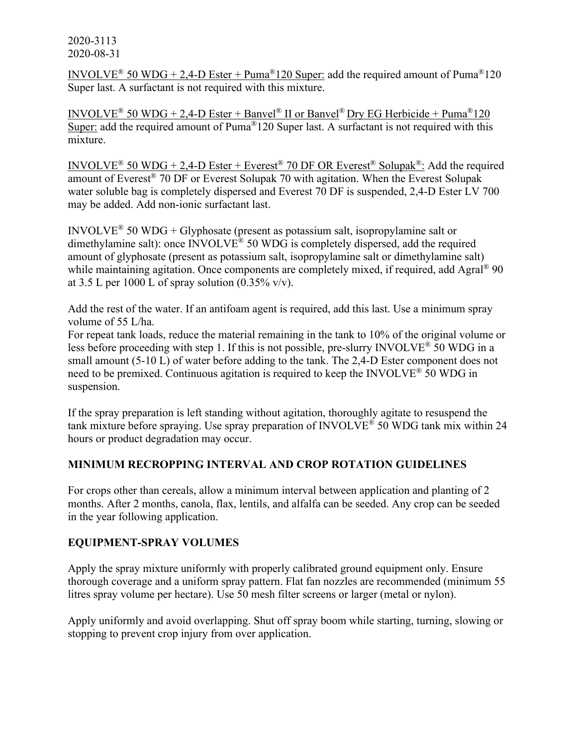INVOLVE<sup>®</sup> 50 WDG + 2,4-D Ester + Puma<sup>®</sup>120 Super: add the required amount of Puma<sup>®</sup>120 Super last. A surfactant is not required with this mixture.

INVOLVE<sup>®</sup> 50 WDG + 2,4-D Ester + Banvel<sup>®</sup> II or Banvel<sup>®</sup> Dry EG Herbicide + Puma<sup>®</sup>120 Super: add the required amount of Puma<sup>®</sup>120 Super last. A surfactant is not required with this mixture.

INVOLVE<sup>®</sup> 50 WDG + 2,4-D Ester + Everest<sup>®</sup> 70 DF OR Everest<sup>®</sup> Solupak<sup>®</sup>: Add the required amount of Everest® 70 DF or Everest Solupak 70 with agitation. When the Everest Solupak water soluble bag is completely dispersed and Everest 70 DF is suspended, 2,4-D Ester LV 700 may be added. Add non-ionic surfactant last.

INVOLVE<sup>®</sup> 50 WDG + Glyphosate (present as potassium salt, isopropylamine salt or dimethylamine salt): once INVOLVE® 50 WDG is completely dispersed, add the required amount of glyphosate (present as potassium salt, isopropylamine salt or dimethylamine salt) while maintaining agitation. Once components are completely mixed, if required, add Agral<sup>®</sup> 90 at 3.5 L per 1000 L of spray solution  $(0.35\% \text{ v/v})$ .

Add the rest of the water. If an antifoam agent is required, add this last. Use a minimum spray volume of 55 L/ha.

For repeat tank loads, reduce the material remaining in the tank to 10% of the original volume or less before proceeding with step 1. If this is not possible, pre-slurry INVOLVE<sup>®</sup> 50 WDG in a small amount (5-10 L) of water before adding to the tank. The 2,4-D Ester component does not need to be premixed. Continuous agitation is required to keep the INVOLVE® 50 WDG in suspension.

If the spray preparation is left standing without agitation, thoroughly agitate to resuspend the tank mixture before spraying. Use spray preparation of INVOLVE® 50 WDG tank mix within 24 hours or product degradation may occur.

## **MINIMUM RECROPPING INTERVAL AND CROP ROTATION GUIDELINES**

For crops other than cereals, allow a minimum interval between application and planting of 2 months. After 2 months, canola, flax, lentils, and alfalfa can be seeded. Any crop can be seeded in the year following application.

## **EQUIPMENT-SPRAY VOLUMES**

Apply the spray mixture uniformly with properly calibrated ground equipment only. Ensure thorough coverage and a uniform spray pattern. Flat fan nozzles are recommended (minimum 55 litres spray volume per hectare). Use 50 mesh filter screens or larger (metal or nylon).

Apply uniformly and avoid overlapping. Shut off spray boom while starting, turning, slowing or stopping to prevent crop injury from over application.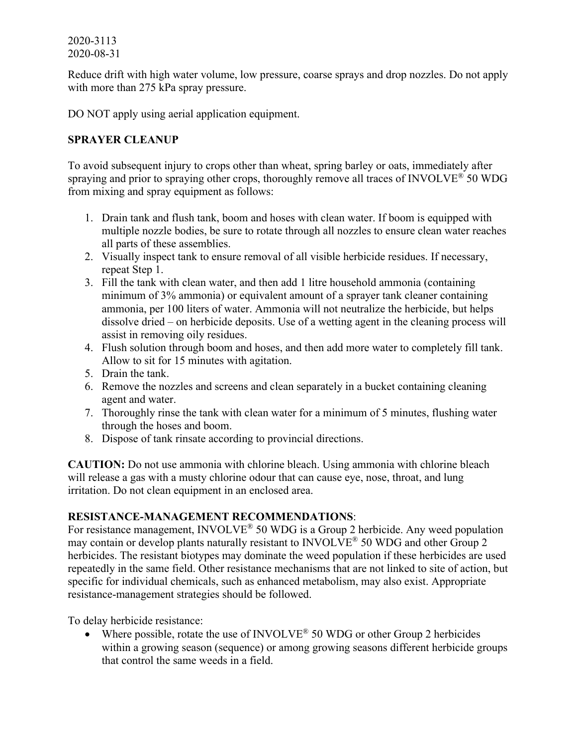Reduce drift with high water volume, low pressure, coarse sprays and drop nozzles. Do not apply with more than 275 kPa spray pressure.

DO NOT apply using aerial application equipment.

## **SPRAYER CLEANUP**

To avoid subsequent injury to crops other than wheat, spring barley or oats, immediately after spraying and prior to spraying other crops, thoroughly remove all traces of INVOLVE<sup>®</sup> 50 WDG from mixing and spray equipment as follows:

- 1. Drain tank and flush tank, boom and hoses with clean water. If boom is equipped with multiple nozzle bodies, be sure to rotate through all nozzles to ensure clean water reaches all parts of these assemblies.
- 2. Visually inspect tank to ensure removal of all visible herbicide residues. If necessary, repeat Step 1.
- 3. Fill the tank with clean water, and then add 1 litre household ammonia (containing minimum of 3% ammonia) or equivalent amount of a sprayer tank cleaner containing ammonia, per 100 liters of water. Ammonia will not neutralize the herbicide, but helps dissolve dried – on herbicide deposits. Use of a wetting agent in the cleaning process will assist in removing oily residues.
- 4. Flush solution through boom and hoses, and then add more water to completely fill tank. Allow to sit for 15 minutes with agitation.
- 5. Drain the tank.
- 6. Remove the nozzles and screens and clean separately in a bucket containing cleaning agent and water.
- 7. Thoroughly rinse the tank with clean water for a minimum of 5 minutes, flushing water through the hoses and boom.
- 8. Dispose of tank rinsate according to provincial directions.

**CAUTION:** Do not use ammonia with chlorine bleach. Using ammonia with chlorine bleach will release a gas with a musty chlorine odour that can cause eye, nose, throat, and lung irritation. Do not clean equipment in an enclosed area.

## **RESISTANCE-MANAGEMENT RECOMMENDATIONS**:

For resistance management, INVOLVE<sup>®</sup> 50 WDG is a Group 2 herbicide. Any weed population may contain or develop plants naturally resistant to INVOLVE® 50 WDG and other Group 2 herbicides. The resistant biotypes may dominate the weed population if these herbicides are used repeatedly in the same field. Other resistance mechanisms that are not linked to site of action, but specific for individual chemicals, such as enhanced metabolism, may also exist. Appropriate resistance-management strategies should be followed.

To delay herbicide resistance:

• Where possible, rotate the use of INVOLVE<sup>®</sup> 50 WDG or other Group 2 herbicides within a growing season (sequence) or among growing seasons different herbicide groups that control the same weeds in a field.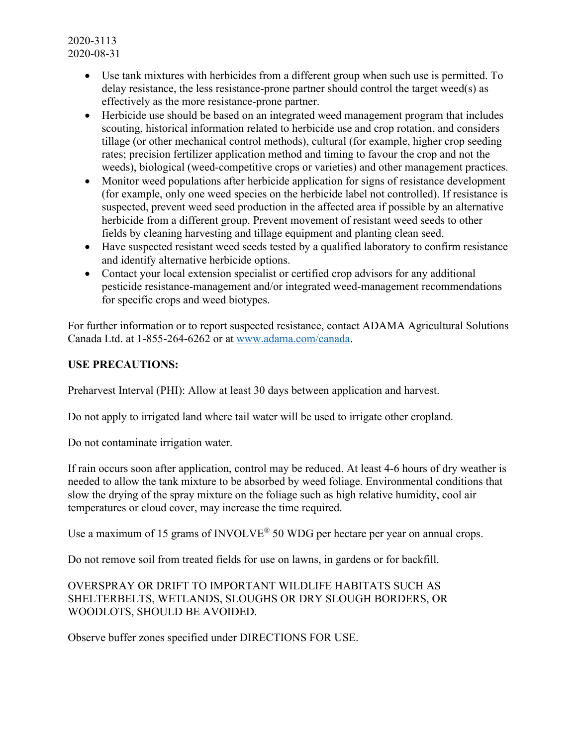- Use tank mixtures with herbicides from a different group when such use is permitted. To delay resistance, the less resistance-prone partner should control the target weed(s) as effectively as the more resistance-prone partner.
- Herbicide use should be based on an integrated weed management program that includes scouting, historical information related to herbicide use and crop rotation, and considers tillage (or other mechanical control methods), cultural (for example, higher crop seeding rates; precision fertilizer application method and timing to favour the crop and not the weeds), biological (weed-competitive crops or varieties) and other management practices.
- Monitor weed populations after herbicide application for signs of resistance development (for example, only one weed species on the herbicide label not controlled). If resistance is suspected, prevent weed seed production in the affected area if possible by an alternative herbicide from a different group. Prevent movement of resistant weed seeds to other fields by cleaning harvesting and tillage equipment and planting clean seed.
- Have suspected resistant weed seeds tested by a qualified laboratory to confirm resistance and identify alternative herbicide options.
- Contact your local extension specialist or certified crop advisors for any additional pesticide resistance-management and/or integrated weed-management recommendations for specific crops and weed biotypes.

For further information or to report suspected resistance, contact ADAMA Agricultural Solutions Canada Ltd. at 1-855-264-6262 or at [www.adama.com/canada.](http://www.adama.com/canada)

## **USE PRECAUTIONS:**

Preharvest Interval (PHI): Allow at least 30 days between application and harvest.

Do not apply to irrigated land where tail water will be used to irrigate other cropland.

Do not contaminate irrigation water.

If rain occurs soon after application, control may be reduced. At least 4-6 hours of dry weather is needed to allow the tank mixture to be absorbed by weed foliage. Environmental conditions that slow the drying of the spray mixture on the foliage such as high relative humidity, cool air temperatures or cloud cover, may increase the time required.

Use a maximum of 15 grams of INVOLVE<sup>®</sup> 50 WDG per hectare per year on annual crops.

Do not remove soil from treated fields for use on lawns, in gardens or for backfill.

## OVERSPRAY OR DRIFT TO IMPORTANT WILDLIFE HABITATS SUCH AS SHELTERBELTS, WETLANDS, SLOUGHS OR DRY SLOUGH BORDERS, OR WOODLOTS, SHOULD BE AVOIDED.

Observe buffer zones specified under DIRECTIONS FOR USE.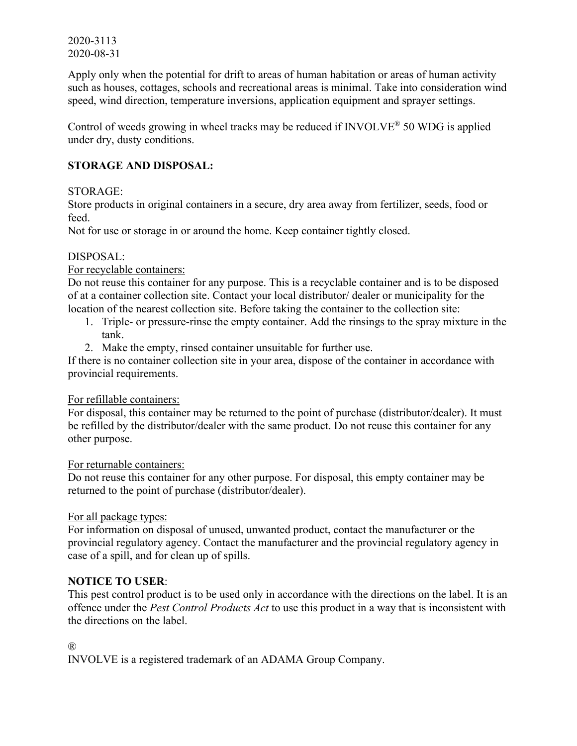Apply only when the potential for drift to areas of human habitation or areas of human activity such as houses, cottages, schools and recreational areas is minimal. Take into consideration wind speed, wind direction, temperature inversions, application equipment and sprayer settings.

Control of weeds growing in wheel tracks may be reduced if INVOLVE® 50 WDG is applied under dry, dusty conditions.

# **STORAGE AND DISPOSAL:**

### STORAGE:

Store products in original containers in a secure, dry area away from fertilizer, seeds, food or feed.

Not for use or storage in or around the home. Keep container tightly closed.

### DISPOSAL:

### For recyclable containers:

Do not reuse this container for any purpose. This is a recyclable container and is to be disposed of at a container collection site. Contact your local distributor/ dealer or municipality for the location of the nearest collection site. Before taking the container to the collection site:

- 1. Triple- or pressure-rinse the empty container. Add the rinsings to the spray mixture in the tank.
- 2. Make the empty, rinsed container unsuitable for further use.

If there is no container collection site in your area, dispose of the container in accordance with provincial requirements.

### For refillable containers:

For disposal, this container may be returned to the point of purchase (distributor/dealer). It must be refilled by the distributor/dealer with the same product. Do not reuse this container for any other purpose.

For returnable containers:

Do not reuse this container for any other purpose. For disposal, this empty container may be returned to the point of purchase (distributor/dealer).

### For all package types:

For information on disposal of unused, unwanted product, contact the manufacturer or the provincial regulatory agency. Contact the manufacturer and the provincial regulatory agency in case of a spill, and for clean up of spills.

## **NOTICE TO USER**:

This pest control product is to be used only in accordance with the directions on the label. It is an offence under the *Pest Control Products Act* to use this product in a way that is inconsistent with the directions on the label.

#### ®

INVOLVE is a registered trademark of an ADAMA Group Company.